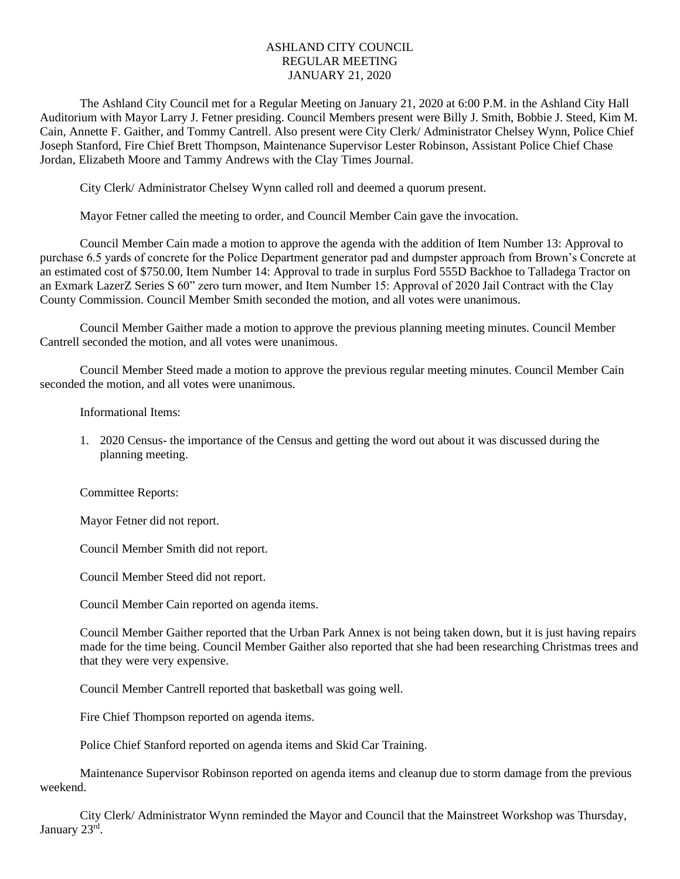## ASHLAND CITY COUNCIL REGULAR MEETING JANUARY 21, 2020

The Ashland City Council met for a Regular Meeting on January 21, 2020 at 6:00 P.M. in the Ashland City Hall Auditorium with Mayor Larry J. Fetner presiding. Council Members present were Billy J. Smith, Bobbie J. Steed, Kim M. Cain, Annette F. Gaither, and Tommy Cantrell. Also present were City Clerk/ Administrator Chelsey Wynn, Police Chief Joseph Stanford, Fire Chief Brett Thompson, Maintenance Supervisor Lester Robinson, Assistant Police Chief Chase Jordan, Elizabeth Moore and Tammy Andrews with the Clay Times Journal.

City Clerk/ Administrator Chelsey Wynn called roll and deemed a quorum present.

Mayor Fetner called the meeting to order, and Council Member Cain gave the invocation.

Council Member Cain made a motion to approve the agenda with the addition of Item Number 13: Approval to purchase 6.5 yards of concrete for the Police Department generator pad and dumpster approach from Brown's Concrete at an estimated cost of \$750.00, Item Number 14: Approval to trade in surplus Ford 555D Backhoe to Talladega Tractor on an Exmark LazerZ Series S 60" zero turn mower, and Item Number 15: Approval of 2020 Jail Contract with the Clay County Commission. Council Member Smith seconded the motion, and all votes were unanimous.

Council Member Gaither made a motion to approve the previous planning meeting minutes. Council Member Cantrell seconded the motion, and all votes were unanimous.

Council Member Steed made a motion to approve the previous regular meeting minutes. Council Member Cain seconded the motion, and all votes were unanimous.

Informational Items:

1. 2020 Census- the importance of the Census and getting the word out about it was discussed during the planning meeting.

Committee Reports:

Mayor Fetner did not report.

Council Member Smith did not report.

Council Member Steed did not report.

Council Member Cain reported on agenda items.

Council Member Gaither reported that the Urban Park Annex is not being taken down, but it is just having repairs made for the time being. Council Member Gaither also reported that she had been researching Christmas trees and that they were very expensive.

Council Member Cantrell reported that basketball was going well.

Fire Chief Thompson reported on agenda items.

Police Chief Stanford reported on agenda items and Skid Car Training.

Maintenance Supervisor Robinson reported on agenda items and cleanup due to storm damage from the previous weekend.

City Clerk/ Administrator Wynn reminded the Mayor and Council that the Mainstreet Workshop was Thursday, January 23rd.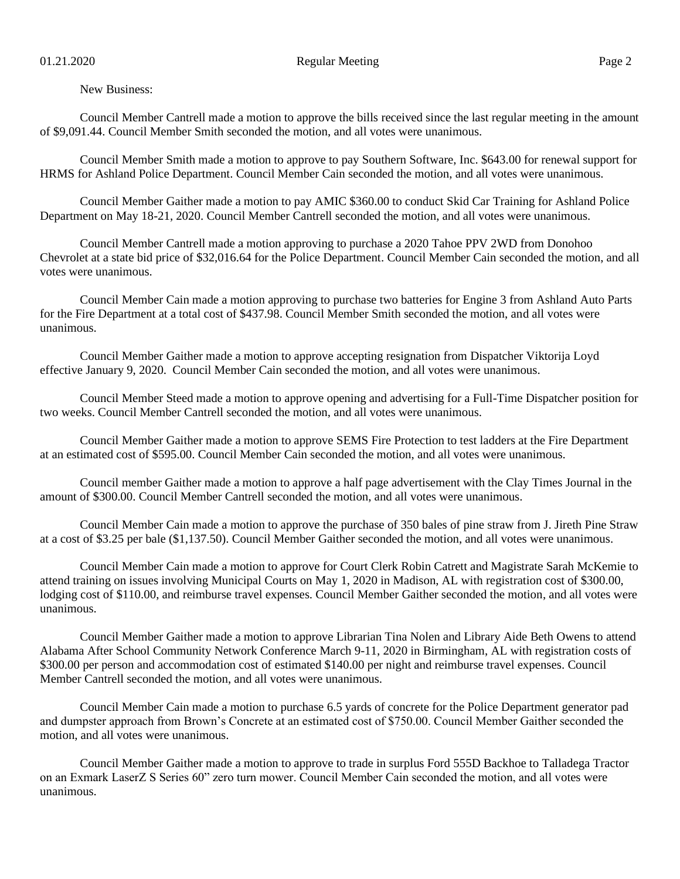New Business:

Council Member Cantrell made a motion to approve the bills received since the last regular meeting in the amount of \$9,091.44. Council Member Smith seconded the motion, and all votes were unanimous.

Council Member Smith made a motion to approve to pay Southern Software, Inc. \$643.00 for renewal support for HRMS for Ashland Police Department. Council Member Cain seconded the motion, and all votes were unanimous.

Council Member Gaither made a motion to pay AMIC \$360.00 to conduct Skid Car Training for Ashland Police Department on May 18-21, 2020. Council Member Cantrell seconded the motion, and all votes were unanimous.

Council Member Cantrell made a motion approving to purchase a 2020 Tahoe PPV 2WD from Donohoo Chevrolet at a state bid price of \$32,016.64 for the Police Department. Council Member Cain seconded the motion, and all votes were unanimous.

Council Member Cain made a motion approving to purchase two batteries for Engine 3 from Ashland Auto Parts for the Fire Department at a total cost of \$437.98. Council Member Smith seconded the motion, and all votes were unanimous.

Council Member Gaither made a motion to approve accepting resignation from Dispatcher Viktorija Loyd effective January 9, 2020. Council Member Cain seconded the motion, and all votes were unanimous.

Council Member Steed made a motion to approve opening and advertising for a Full-Time Dispatcher position for two weeks. Council Member Cantrell seconded the motion, and all votes were unanimous.

Council Member Gaither made a motion to approve SEMS Fire Protection to test ladders at the Fire Department at an estimated cost of \$595.00. Council Member Cain seconded the motion, and all votes were unanimous.

Council member Gaither made a motion to approve a half page advertisement with the Clay Times Journal in the amount of \$300.00. Council Member Cantrell seconded the motion, and all votes were unanimous.

Council Member Cain made a motion to approve the purchase of 350 bales of pine straw from J. Jireth Pine Straw at a cost of \$3.25 per bale (\$1,137.50). Council Member Gaither seconded the motion, and all votes were unanimous.

Council Member Cain made a motion to approve for Court Clerk Robin Catrett and Magistrate Sarah McKemie to attend training on issues involving Municipal Courts on May 1, 2020 in Madison, AL with registration cost of \$300.00, lodging cost of \$110.00, and reimburse travel expenses. Council Member Gaither seconded the motion, and all votes were unanimous.

Council Member Gaither made a motion to approve Librarian Tina Nolen and Library Aide Beth Owens to attend Alabama After School Community Network Conference March 9-11, 2020 in Birmingham, AL with registration costs of \$300.00 per person and accommodation cost of estimated \$140.00 per night and reimburse travel expenses. Council Member Cantrell seconded the motion, and all votes were unanimous.

Council Member Cain made a motion to purchase 6.5 yards of concrete for the Police Department generator pad and dumpster approach from Brown's Concrete at an estimated cost of \$750.00. Council Member Gaither seconded the motion, and all votes were unanimous.

Council Member Gaither made a motion to approve to trade in surplus Ford 555D Backhoe to Talladega Tractor on an Exmark LaserZ S Series 60" zero turn mower. Council Member Cain seconded the motion, and all votes were unanimous.